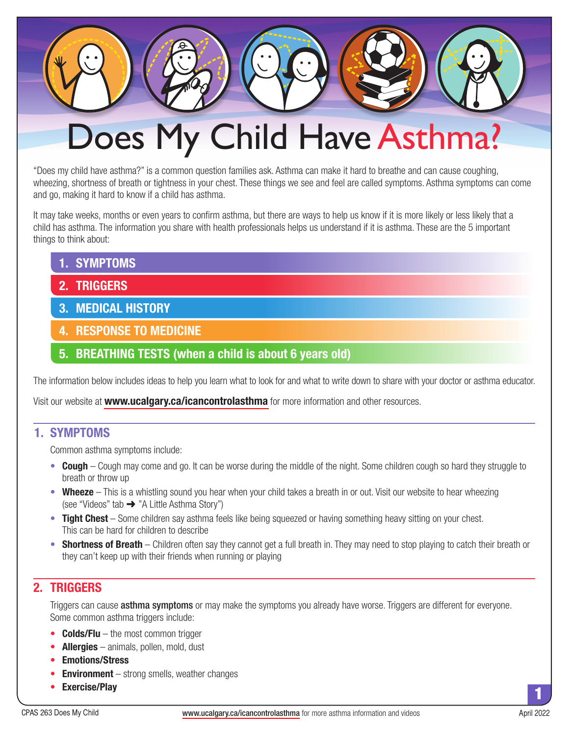# Does My Child Have Asthma?

"Does my child have asthma?" is a common question families ask. Asthma can make it hard to breathe and can cause coughing, wheezing, shortness of breath or tightness in your chest. These things we see and feel are called symptoms. Asthma symptoms can come and go, making it hard to know if a child has asthma.

It may take weeks, months or even years to confirm asthma, but there are ways to help us know if it is more likely or less likely that a child has asthma. The information you share with health professionals helps us understand if it is asthma. These are the 5 important things to think about:

- **1. SYMPTOMS**
- **2. TRIGGERS**
- **3. MEDICAL HISTORY**
- **4. RESPONSE TO MEDICINE**
- **5. BREATHING TESTS (when a child is about 6 years old)**

The information below includes ideas to help you learn what to look for and what to write down to share with your doctor or asthma educator.

Visit our website at **[www.ucalgary.ca/icancontrolasthma](https://ucalgary.ca/icancontrolasthma/)** for more information and other resources.

# **1. SYMPTOMS**

Common asthma symptoms include:

- **Cough** Cough may come and go. It can be worse during the middle of the night. Some children cough so hard they struggle to breath or throw up
- **Wheeze** This is a whistling sound you hear when your child takes a breath in or out. Visit our website to hear wheezing (see "Videos" tab ➜ "A Little Asthma Story")
- **Tight Chest** Some children say asthma feels like being squeezed or having something heavy sitting on your chest. This can be hard for children to describe
- **Shortness of Breath** Children often say they cannot get a full breath in. They may need to stop playing to catch their breath or they can't keep up with their friends when running or playing

# **2. TRIGGERS**

Triggers can cause **asthma symptoms** or may make the symptoms you already have worse. Triggers are different for everyone. Some common asthma triggers include:

- **Colds/Flu** the most common trigger
- **Allergies** animals, pollen, mold, dust
- **Emotions/Stress**
- **Environment** strong smells, weather changes
- **Exercise/Play**

1